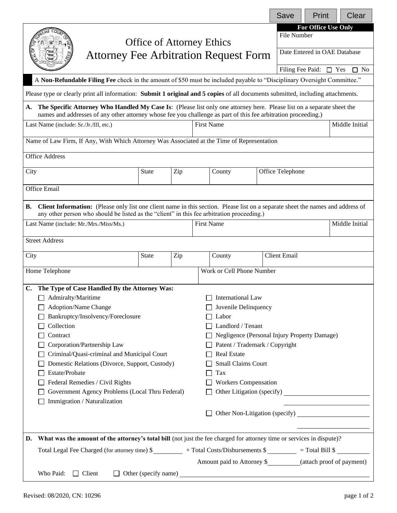|                                                                                                                                                                                                                                                |                                                                                               |     |                      |                                                               |  | Save                         | Print                       | Clear          |  |  |
|------------------------------------------------------------------------------------------------------------------------------------------------------------------------------------------------------------------------------------------------|-----------------------------------------------------------------------------------------------|-----|----------------------|---------------------------------------------------------------|--|------------------------------|-----------------------------|----------------|--|--|
|                                                                                                                                                                                                                                                |                                                                                               |     |                      |                                                               |  | File Number                  | For Office Use Only         |                |  |  |
| <b>Office of Attorney Ethics</b><br><b>Attorney Fee Arbitration Request Form</b>                                                                                                                                                               |                                                                                               |     |                      |                                                               |  |                              |                             |                |  |  |
|                                                                                                                                                                                                                                                |                                                                                               |     |                      |                                                               |  | Date Entered in OAE Database |                             |                |  |  |
|                                                                                                                                                                                                                                                |                                                                                               |     |                      |                                                               |  |                              | Filing Fee Paid: $\Box$ Yes | $\Box$ No      |  |  |
| A Non-Refundable Filing Fee check in the amount of \$50 must be included payable to "Disciplinary Oversight Committee."                                                                                                                        |                                                                                               |     |                      |                                                               |  |                              |                             |                |  |  |
| Please type or clearly print all information: Submit 1 original and 5 copies of all documents submitted, including attachments.                                                                                                                |                                                                                               |     |                      |                                                               |  |                              |                             |                |  |  |
| The Specific Attorney Who Handled My Case Is: (Please list only one attorney here. Please list on a separate sheet the<br>А.<br>names and addresses of any other attorney whose fee you challenge as part of this fee arbitration proceeding.) |                                                                                               |     |                      |                                                               |  |                              |                             |                |  |  |
| <b>First Name</b><br>Last Name (include: Sr./Jr./III, etc.)                                                                                                                                                                                    |                                                                                               |     |                      |                                                               |  |                              | Middle Initial              |                |  |  |
| Name of Law Firm, If Any, With Which Attorney Was Associated at the Time of Representation                                                                                                                                                     |                                                                                               |     |                      |                                                               |  |                              |                             |                |  |  |
| <b>Office Address</b>                                                                                                                                                                                                                          |                                                                                               |     |                      |                                                               |  |                              |                             |                |  |  |
|                                                                                                                                                                                                                                                |                                                                                               |     |                      |                                                               |  |                              |                             |                |  |  |
| City                                                                                                                                                                                                                                           | <b>State</b>                                                                                  | Zip |                      | County                                                        |  | Office Telephone             |                             |                |  |  |
| Office Email                                                                                                                                                                                                                                   |                                                                                               |     |                      |                                                               |  |                              |                             |                |  |  |
| <b>Client Information:</b> (Please only list one client name in this section. Please list on a separate sheet the names and address of<br>В.                                                                                                   |                                                                                               |     |                      |                                                               |  |                              |                             |                |  |  |
| any other person who should be listed as the "client" in this fee arbitration proceeding.)<br>Last Name (include: Mr./Mrs./Miss/Ms.)                                                                                                           |                                                                                               |     |                      | <b>First Name</b>                                             |  |                              |                             | Middle Initial |  |  |
|                                                                                                                                                                                                                                                |                                                                                               |     |                      |                                                               |  |                              |                             |                |  |  |
| <b>Street Address</b>                                                                                                                                                                                                                          |                                                                                               |     |                      |                                                               |  |                              |                             |                |  |  |
| City                                                                                                                                                                                                                                           | <b>State</b>                                                                                  | Zip | County               |                                                               |  | <b>Client Email</b>          |                             |                |  |  |
| Home Telephone                                                                                                                                                                                                                                 |                                                                                               |     |                      | Work or Cell Phone Number                                     |  |                              |                             |                |  |  |
| The Type of Case Handled By the Attorney Was:<br>C.                                                                                                                                                                                            |                                                                                               |     |                      |                                                               |  |                              |                             |                |  |  |
| $\Box$ Admiralty/Maritime<br>International Law                                                                                                                                                                                                 |                                                                                               |     |                      |                                                               |  |                              |                             |                |  |  |
| Adoption/Name Change                                                                                                                                                                                                                           |                                                                                               |     | Juvenile Delinquency |                                                               |  |                              |                             |                |  |  |
| Bankruptcy/Insolvency/Foreclosure<br>Labor                                                                                                                                                                                                     |                                                                                               |     |                      |                                                               |  |                              |                             |                |  |  |
| Collection                                                                                                                                                                                                                                     |                                                                                               |     | Landlord / Tenant    |                                                               |  |                              |                             |                |  |  |
| Contract                                                                                                                                                                                                                                       |                                                                                               |     |                      | Negligence (Personal Injury Property Damage)                  |  |                              |                             |                |  |  |
| Corporation/Partnership Law<br>Patent / Trademark / Copyright                                                                                                                                                                                  |                                                                                               |     |                      |                                                               |  |                              |                             |                |  |  |
| Criminal/Quasi-criminal and Municipal Court<br><b>Real Estate</b>                                                                                                                                                                              |                                                                                               |     |                      |                                                               |  |                              |                             |                |  |  |
| Domestic Relations (Divorce, Support, Custody)                                                                                                                                                                                                 |                                                                                               |     | Small Claims Court   |                                                               |  |                              |                             |                |  |  |
| Estate/Probate                                                                                                                                                                                                                                 |                                                                                               |     | Tax                  |                                                               |  |                              |                             |                |  |  |
| Federal Remedies / Civil Rights                                                                                                                                                                                                                |                                                                                               |     |                      | <b>Workers Compensation</b>                                   |  |                              |                             |                |  |  |
| Government Agency Problems (Local Thru Federal)                                                                                                                                                                                                |                                                                                               |     |                      |                                                               |  |                              |                             |                |  |  |
| Immigration / Naturalization                                                                                                                                                                                                                   |                                                                                               |     |                      | Other Non-Litigation (specify)                                |  |                              |                             |                |  |  |
|                                                                                                                                                                                                                                                |                                                                                               |     |                      |                                                               |  |                              |                             |                |  |  |
| D. What was the amount of the attorney's total bill (not just the fee charged for attorney time or services in dispute)?                                                                                                                       |                                                                                               |     |                      |                                                               |  |                              |                             |                |  |  |
|                                                                                                                                                                                                                                                | Total Legal Fee Charged (for attorney time) \$ + Total Costs/Disbursements \$ - Total Bill \$ |     |                      |                                                               |  |                              |                             |                |  |  |
|                                                                                                                                                                                                                                                |                                                                                               |     |                      | Amount paid to Attorney \$__________(attach proof of payment) |  |                              |                             |                |  |  |
| Who Paid:<br>$\Box$ Client                                                                                                                                                                                                                     |                                                                                               |     |                      |                                                               |  |                              |                             |                |  |  |